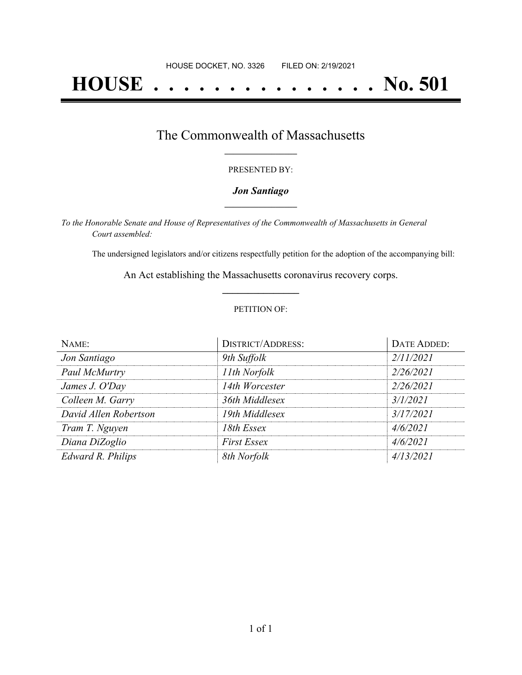# **HOUSE . . . . . . . . . . . . . . . No. 501**

### The Commonwealth of Massachusetts **\_\_\_\_\_\_\_\_\_\_\_\_\_\_\_\_\_**

#### PRESENTED BY:

#### *Jon Santiago* **\_\_\_\_\_\_\_\_\_\_\_\_\_\_\_\_\_**

*To the Honorable Senate and House of Representatives of the Commonwealth of Massachusetts in General Court assembled:*

The undersigned legislators and/or citizens respectfully petition for the adoption of the accompanying bill:

An Act establishing the Massachusetts coronavirus recovery corps. **\_\_\_\_\_\_\_\_\_\_\_\_\_\_\_**

#### PETITION OF:

| NAME:                 | DISTRICT/ADDRESS:  | DATE ADDED: |
|-----------------------|--------------------|-------------|
| Jon Santiago          | 9th Suffolk        | 2/11/2021   |
| Paul McMurtry         | 11th Norfolk       | 2/26/2021   |
| James J. O'Day        | 14th Worcester     | 2/26/2021   |
| Colleen M. Garry      | 36th Middlesex     | 3/1/2021    |
| David Allen Robertson | 19th Middlesex     | 3/17/2021   |
| Tram T. Nguyen        | 18th Essex         | 4/6/2021    |
| Diana DiZoglio        | <b>First Essex</b> | 4/6/2021    |
| Edward R. Philips     | 8th Norfolk        | 4/13/2021   |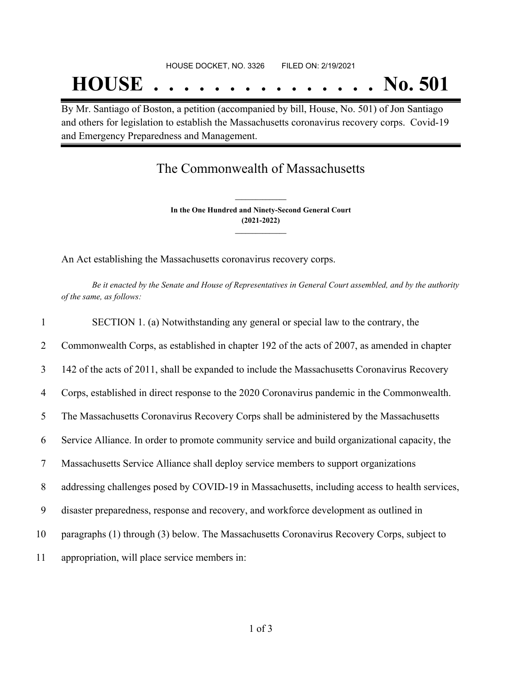By Mr. Santiago of Boston, a petition (accompanied by bill, House, No. 501) of Jon Santiago and others for legislation to establish the Massachusetts coronavirus recovery corps. Covid-19 and Emergency Preparedness and Management.

## The Commonwealth of Massachusetts

**In the One Hundred and Ninety-Second General Court (2021-2022) \_\_\_\_\_\_\_\_\_\_\_\_\_\_\_**

**\_\_\_\_\_\_\_\_\_\_\_\_\_\_\_**

An Act establishing the Massachusetts coronavirus recovery corps.

Be it enacted by the Senate and House of Representatives in General Court assembled, and by the authority *of the same, as follows:*

| $\mathbf{1}$ | SECTION 1. (a) Notwithstanding any general or special law to the contrary, the                 |
|--------------|------------------------------------------------------------------------------------------------|
| 2            | Commonwealth Corps, as established in chapter 192 of the acts of 2007, as amended in chapter   |
| 3            | 142 of the acts of 2011, shall be expanded to include the Massachusetts Coronavirus Recovery   |
| 4            | Corps, established in direct response to the 2020 Coronavirus pandemic in the Commonwealth.    |
| 5            | The Massachusetts Coronavirus Recovery Corps shall be administered by the Massachusetts        |
| 6            | Service Alliance. In order to promote community service and build organizational capacity, the |
| 7            | Massachusetts Service Alliance shall deploy service members to support organizations           |
| 8            | addressing challenges posed by COVID-19 in Massachusetts, including access to health services, |
| 9            | disaster preparedness, response and recovery, and workforce development as outlined in         |
| 10           | paragraphs (1) through (3) below. The Massachusetts Coronavirus Recovery Corps, subject to     |
| 11           | appropriation, will place service members in:                                                  |
|              |                                                                                                |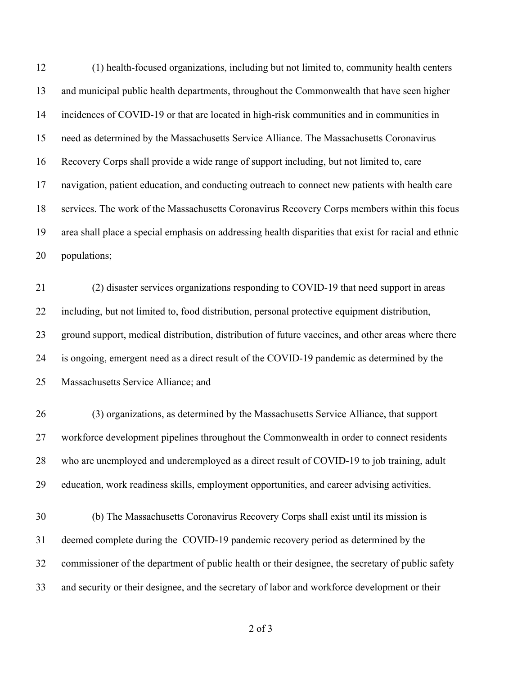(1) health-focused organizations, including but not limited to, community health centers and municipal public health departments, throughout the Commonwealth that have seen higher incidences of COVID-19 or that are located in high-risk communities and in communities in need as determined by the Massachusetts Service Alliance. The Massachusetts Coronavirus Recovery Corps shall provide a wide range of support including, but not limited to, care navigation, patient education, and conducting outreach to connect new patients with health care services. The work of the Massachusetts Coronavirus Recovery Corps members within this focus area shall place a special emphasis on addressing health disparities that exist for racial and ethnic populations;

 (2) disaster services organizations responding to COVID-19 that need support in areas including, but not limited to, food distribution, personal protective equipment distribution, ground support, medical distribution, distribution of future vaccines, and other areas where there is ongoing, emergent need as a direct result of the COVID-19 pandemic as determined by the Massachusetts Service Alliance; and

 (3) organizations, as determined by the Massachusetts Service Alliance, that support workforce development pipelines throughout the Commonwealth in order to connect residents 28 who are unemployed and underemployed as a direct result of COVID-19 to job training, adult education, work readiness skills, employment opportunities, and career advising activities.

 (b) The Massachusetts Coronavirus Recovery Corps shall exist until its mission is deemed complete during the COVID-19 pandemic recovery period as determined by the commissioner of the department of public health or their designee, the secretary of public safety and security or their designee, and the secretary of labor and workforce development or their

of 3